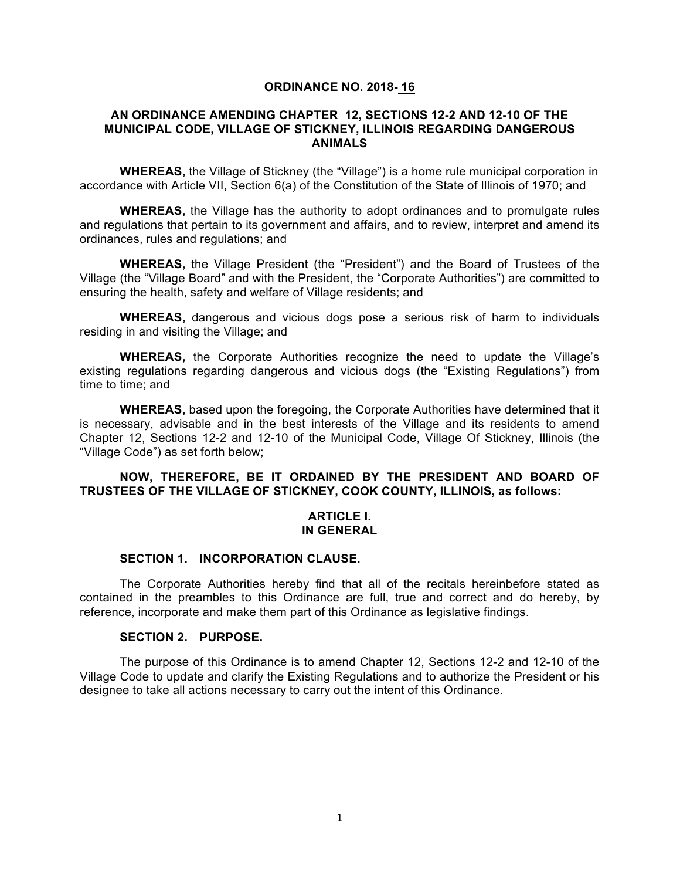#### **ORDINANCE NO. 2018- 16**

#### **AN ORDINANCE AMENDING CHAPTER 12, SECTIONS 12-2 AND 12-10 OF THE MUNICIPAL CODE, VILLAGE OF STICKNEY, ILLINOIS REGARDING DANGEROUS ANIMALS**

**WHEREAS,** the Village of Stickney (the "Village") is a home rule municipal corporation in accordance with Article VII, Section 6(a) of the Constitution of the State of Illinois of 1970; and

**WHEREAS,** the Village has the authority to adopt ordinances and to promulgate rules and regulations that pertain to its government and affairs, and to review, interpret and amend its ordinances, rules and regulations; and

**WHEREAS,** the Village President (the "President") and the Board of Trustees of the Village (the "Village Board" and with the President, the "Corporate Authorities") are committed to ensuring the health, safety and welfare of Village residents; and

**WHEREAS,** dangerous and vicious dogs pose a serious risk of harm to individuals residing in and visiting the Village; and

**WHEREAS,** the Corporate Authorities recognize the need to update the Village's existing regulations regarding dangerous and vicious dogs (the "Existing Regulations") from time to time; and

**WHEREAS,** based upon the foregoing, the Corporate Authorities have determined that it is necessary, advisable and in the best interests of the Village and its residents to amend Chapter 12, Sections 12-2 and 12-10 of the Municipal Code, Village Of Stickney, Illinois (the "Village Code") as set forth below;

### **NOW, THEREFORE, BE IT ORDAINED BY THE PRESIDENT AND BOARD OF TRUSTEES OF THE VILLAGE OF STICKNEY, COOK COUNTY, ILLINOIS, as follows:**

#### **ARTICLE I. IN GENERAL**

# **SECTION 1. INCORPORATION CLAUSE.**

The Corporate Authorities hereby find that all of the recitals hereinbefore stated as contained in the preambles to this Ordinance are full, true and correct and do hereby, by reference, incorporate and make them part of this Ordinance as legislative findings.

#### **SECTION 2. PURPOSE.**

The purpose of this Ordinance is to amend Chapter 12, Sections 12-2 and 12-10 of the Village Code to update and clarify the Existing Regulations and to authorize the President or his designee to take all actions necessary to carry out the intent of this Ordinance.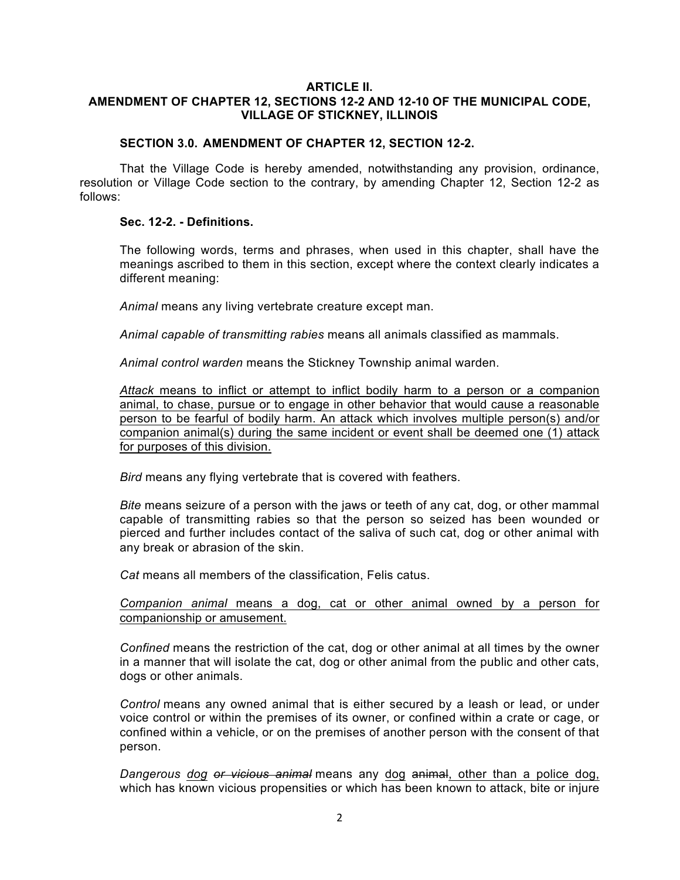### **ARTICLE II. AMENDMENT OF CHAPTER 12, SECTIONS 12-2 AND 12-10 OF THE MUNICIPAL CODE, VILLAGE OF STICKNEY, ILLINOIS**

### **SECTION 3.0. AMENDMENT OF CHAPTER 12, SECTION 12-2.**

That the Village Code is hereby amended, notwithstanding any provision, ordinance, resolution or Village Code section to the contrary, by amending Chapter 12, Section 12-2 as follows:

### **Sec. 12-2. - Definitions.**

The following words, terms and phrases, when used in this chapter, shall have the meanings ascribed to them in this section, except where the context clearly indicates a different meaning:

*Animal* means any living vertebrate creature except man.

*Animal capable of transmitting rabies* means all animals classified as mammals.

*Animal control warden* means the Stickney Township animal warden.

*Attack* means to inflict or attempt to inflict bodily harm to a person or a companion animal, to chase, pursue or to engage in other behavior that would cause a reasonable person to be fearful of bodily harm. An attack which involves multiple person(s) and/or companion animal(s) during the same incident or event shall be deemed one (1) attack for purposes of this division.

*Bird* means any flying vertebrate that is covered with feathers.

*Bite* means seizure of a person with the jaws or teeth of any cat, dog, or other mammal capable of transmitting rabies so that the person so seized has been wounded or pierced and further includes contact of the saliva of such cat, dog or other animal with any break or abrasion of the skin.

*Cat* means all members of the classification, Felis catus.

### *Companion animal* means a dog, cat or other animal owned by a person for companionship or amusement.

*Confined* means the restriction of the cat, dog or other animal at all times by the owner in a manner that will isolate the cat, dog or other animal from the public and other cats, dogs or other animals.

*Control* means any owned animal that is either secured by a leash or lead, or under voice control or within the premises of its owner, or confined within a crate or cage, or confined within a vehicle, or on the premises of another person with the consent of that person.

*Dangerous dog or vicious animal* means any dog animal, other than a police dog, which has known vicious propensities or which has been known to attack, bite or injure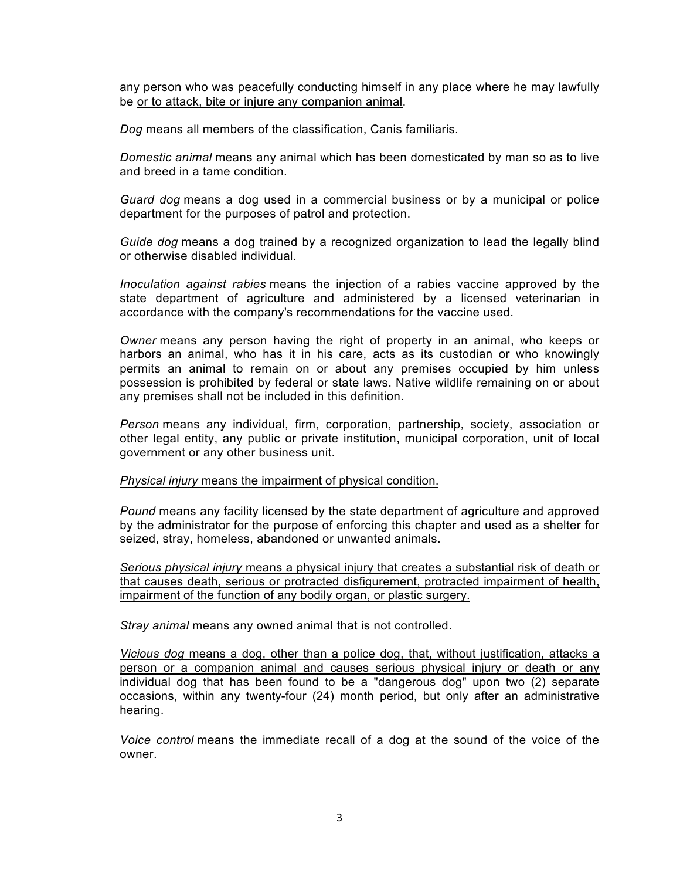any person who was peacefully conducting himself in any place where he may lawfully be or to attack, bite or injure any companion animal.

*Dog* means all members of the classification, Canis familiaris.

*Domestic animal* means any animal which has been domesticated by man so as to live and breed in a tame condition.

*Guard dog* means a dog used in a commercial business or by a municipal or police department for the purposes of patrol and protection.

*Guide dog* means a dog trained by a recognized organization to lead the legally blind or otherwise disabled individual.

*Inoculation against rabies* means the injection of a rabies vaccine approved by the state department of agriculture and administered by a licensed veterinarian in accordance with the company's recommendations for the vaccine used.

*Owner* means any person having the right of property in an animal, who keeps or harbors an animal, who has it in his care, acts as its custodian or who knowingly permits an animal to remain on or about any premises occupied by him unless possession is prohibited by federal or state laws. Native wildlife remaining on or about any premises shall not be included in this definition.

*Person* means any individual, firm, corporation, partnership, society, association or other legal entity, any public or private institution, municipal corporation, unit of local government or any other business unit.

*Physical injury* means the impairment of physical condition.

*Pound* means any facility licensed by the state department of agriculture and approved by the administrator for the purpose of enforcing this chapter and used as a shelter for seized, stray, homeless, abandoned or unwanted animals.

*Serious physical injury* means a physical injury that creates a substantial risk of death or that causes death, serious or protracted disfigurement, protracted impairment of health, impairment of the function of any bodily organ, or plastic surgery.

*Stray animal* means any owned animal that is not controlled.

*Vicious dog* means a dog, other than a police dog, that, without justification, attacks a person or a companion animal and causes serious physical injury or death or any individual dog that has been found to be a "dangerous dog" upon two (2) separate occasions, within any twenty-four (24) month period, but only after an administrative hearing.

*Voice control* means the immediate recall of a dog at the sound of the voice of the owner.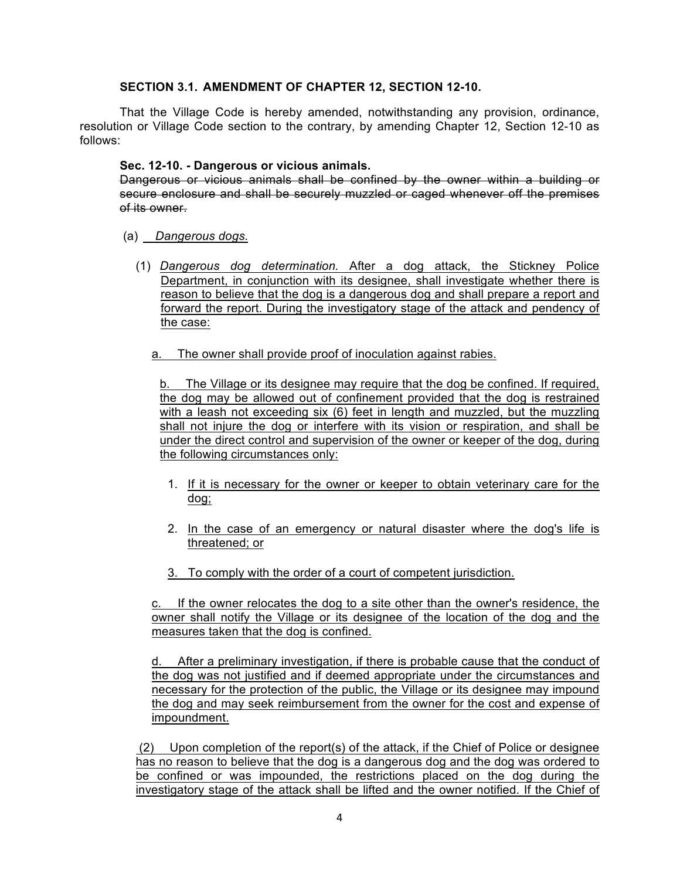# **SECTION 3.1. AMENDMENT OF CHAPTER 12, SECTION 12-10.**

That the Village Code is hereby amended, notwithstanding any provision, ordinance, resolution or Village Code section to the contrary, by amending Chapter 12, Section 12-10 as follows:

### **Sec. 12-10. - Dangerous or vicious animals.**

Dangerous or vicious animals shall be confined by the owner within a building or secure enclosure and shall be securely muzzled or caged whenever off the premises of its owner.

- (a) *Dangerous dogs.*
	- (1) *Dangerous dog determination.* After a dog attack, the Stickney Police Department, in conjunction with its designee, shall investigate whether there is reason to believe that the dog is a dangerous dog and shall prepare a report and forward the report. During the investigatory stage of the attack and pendency of the case:
		- a. The owner shall provide proof of inoculation against rabies.

b. The Village or its designee may require that the dog be confined. If required, the dog may be allowed out of confinement provided that the dog is restrained with a leash not exceeding six (6) feet in length and muzzled, but the muzzling shall not injure the dog or interfere with its vision or respiration, and shall be under the direct control and supervision of the owner or keeper of the dog, during the following circumstances only:

- 1. If it is necessary for the owner or keeper to obtain veterinary care for the dog;
- 2. In the case of an emergency or natural disaster where the dog's life is threatened; or
- 3. To comply with the order of a court of competent jurisdiction.

c. If the owner relocates the dog to a site other than the owner's residence, the owner shall notify the Village or its designee of the location of the dog and the measures taken that the dog is confined.

d. After a preliminary investigation, if there is probable cause that the conduct of the dog was not justified and if deemed appropriate under the circumstances and necessary for the protection of the public, the Village or its designee may impound the dog and may seek reimbursement from the owner for the cost and expense of impoundment.

 $(2)$  Upon completion of the report(s) of the attack, if the Chief of Police or designee has no reason to believe that the dog is a dangerous dog and the dog was ordered to be confined or was impounded, the restrictions placed on the dog during the investigatory stage of the attack shall be lifted and the owner notified. If the Chief of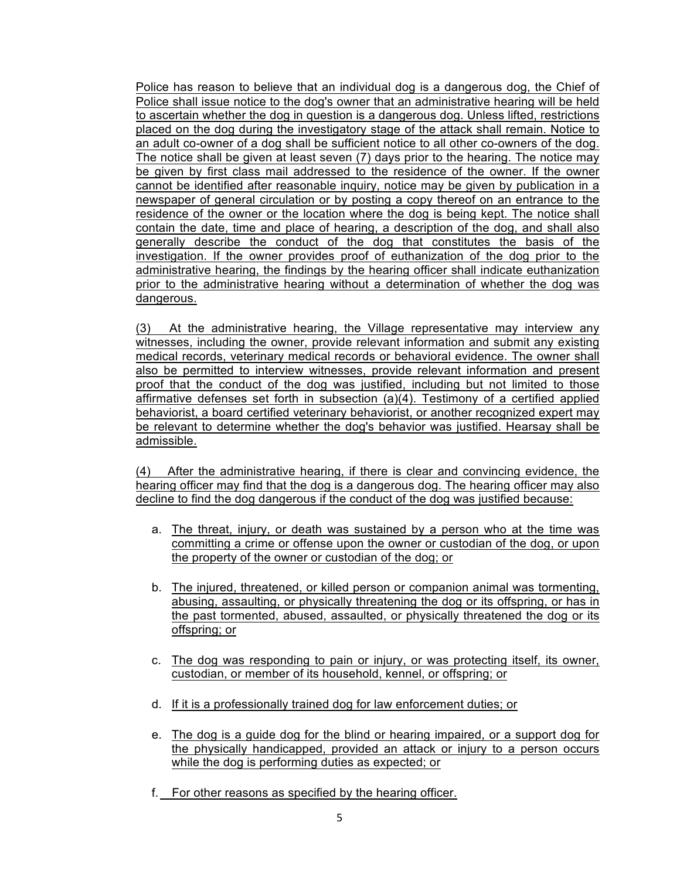Police has reason to believe that an individual dog is a dangerous dog, the Chief of Police shall issue notice to the dog's owner that an administrative hearing will be held to ascertain whether the dog in question is a dangerous dog. Unless lifted, restrictions placed on the dog during the investigatory stage of the attack shall remain. Notice to an adult co-owner of a dog shall be sufficient notice to all other co-owners of the dog. The notice shall be given at least seven (7) days prior to the hearing. The notice may be given by first class mail addressed to the residence of the owner. If the owner cannot be identified after reasonable inquiry, notice may be given by publication in a newspaper of general circulation or by posting a copy thereof on an entrance to the residence of the owner or the location where the dog is being kept. The notice shall contain the date, time and place of hearing, a description of the dog, and shall also generally describe the conduct of the dog that constitutes the basis of the investigation. If the owner provides proof of euthanization of the dog prior to the administrative hearing, the findings by the hearing officer shall indicate euthanization prior to the administrative hearing without a determination of whether the dog was dangerous.

(3) At the administrative hearing, the Village representative may interview any witnesses, including the owner, provide relevant information and submit any existing medical records, veterinary medical records or behavioral evidence. The owner shall also be permitted to interview witnesses, provide relevant information and present proof that the conduct of the dog was justified, including but not limited to those affirmative defenses set forth in subsection (a)(4). Testimony of a certified applied behaviorist, a board certified veterinary behaviorist, or another recognized expert may be relevant to determine whether the dog's behavior was justified. Hearsay shall be admissible.

(4) After the administrative hearing, if there is clear and convincing evidence, the hearing officer may find that the dog is a dangerous dog. The hearing officer may also decline to find the dog dangerous if the conduct of the dog was justified because:

- a. The threat, injury, or death was sustained by a person who at the time was committing a crime or offense upon the owner or custodian of the dog, or upon the property of the owner or custodian of the dog; or
- b. The injured, threatened, or killed person or companion animal was tormenting, abusing, assaulting, or physically threatening the dog or its offspring, or has in the past tormented, abused, assaulted, or physically threatened the dog or its offspring; or
- c. The dog was responding to pain or injury, or was protecting itself, its owner, custodian, or member of its household, kennel, or offspring; or
- d. If it is a professionally trained dog for law enforcement duties; or
- e. The dog is a guide dog for the blind or hearing impaired, or a support dog for the physically handicapped, provided an attack or injury to a person occurs while the dog is performing duties as expected; or
- f. For other reasons as specified by the hearing officer.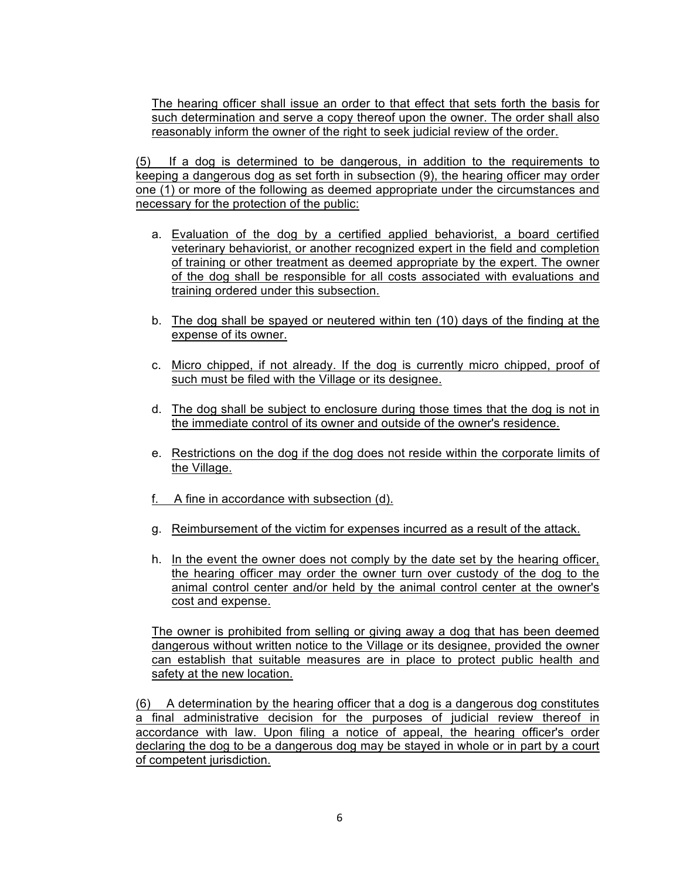The hearing officer shall issue an order to that effect that sets forth the basis for such determination and serve a copy thereof upon the owner. The order shall also reasonably inform the owner of the right to seek judicial review of the order.

(5) If a dog is determined to be dangerous, in addition to the requirements to keeping a dangerous dog as set forth in subsection (9), the hearing officer may order one (1) or more of the following as deemed appropriate under the circumstances and necessary for the protection of the public:

- a. Evaluation of the dog by a certified applied behaviorist, a board certified veterinary behaviorist, or another recognized expert in the field and completion of training or other treatment as deemed appropriate by the expert. The owner of the dog shall be responsible for all costs associated with evaluations and training ordered under this subsection.
- b. The dog shall be spayed or neutered within ten (10) days of the finding at the expense of its owner.
- c. Micro chipped, if not already. If the dog is currently micro chipped, proof of such must be filed with the Village or its designee.
- d. The dog shall be subject to enclosure during those times that the dog is not in the immediate control of its owner and outside of the owner's residence.
- e. Restrictions on the dog if the dog does not reside within the corporate limits of the Village.
- f. A fine in accordance with subsection (d).
- g. Reimbursement of the victim for expenses incurred as a result of the attack.
- h. In the event the owner does not comply by the date set by the hearing officer, the hearing officer may order the owner turn over custody of the dog to the animal control center and/or held by the animal control center at the owner's cost and expense.

The owner is prohibited from selling or giving away a dog that has been deemed dangerous without written notice to the Village or its designee, provided the owner can establish that suitable measures are in place to protect public health and safety at the new location.

(6) A determination by the hearing officer that a dog is a dangerous dog constitutes a final administrative decision for the purposes of judicial review thereof in accordance with law. Upon filing a notice of appeal, the hearing officer's order declaring the dog to be a dangerous dog may be stayed in whole or in part by a court of competent jurisdiction.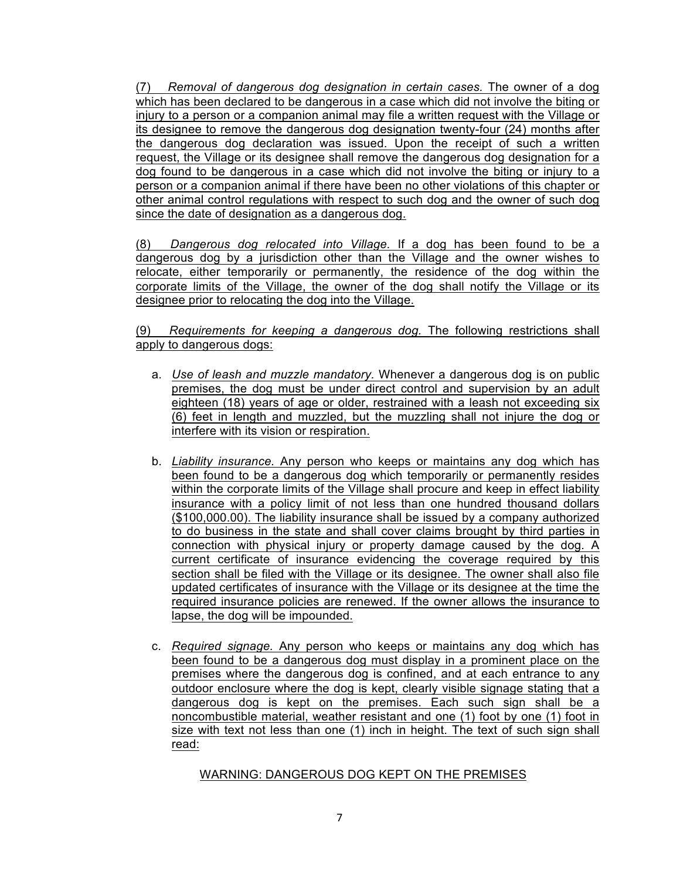(7) *Removal of dangerous dog designation in certain cases.* The owner of a dog which has been declared to be dangerous in a case which did not involve the biting or injury to a person or a companion animal may file a written request with the Village or its designee to remove the dangerous dog designation twenty-four (24) months after the dangerous dog declaration was issued. Upon the receipt of such a written request, the Village or its designee shall remove the dangerous dog designation for a dog found to be dangerous in a case which did not involve the biting or injury to a person or a companion animal if there have been no other violations of this chapter or other animal control regulations with respect to such dog and the owner of such dog since the date of designation as a dangerous dog.

(8) *Dangerous dog relocated into Village.* If a dog has been found to be a dangerous dog by a jurisdiction other than the Village and the owner wishes to relocate, either temporarily or permanently, the residence of the dog within the corporate limits of the Village, the owner of the dog shall notify the Village or its designee prior to relocating the dog into the Village.

(9) *Requirements for keeping a dangerous dog.* The following restrictions shall apply to dangerous dogs:

- a. *Use of leash and muzzle mandatory.* Whenever a dangerous dog is on public premises, the dog must be under direct control and supervision by an adult eighteen (18) years of age or older, restrained with a leash not exceeding six (6) feet in length and muzzled, but the muzzling shall not injure the dog or interfere with its vision or respiration.
- b. *Liability insurance.* Any person who keeps or maintains any dog which has been found to be a dangerous dog which temporarily or permanently resides within the corporate limits of the Village shall procure and keep in effect liability insurance with a policy limit of not less than one hundred thousand dollars (\$100,000.00). The liability insurance shall be issued by a company authorized to do business in the state and shall cover claims brought by third parties in connection with physical injury or property damage caused by the dog. A current certificate of insurance evidencing the coverage required by this section shall be filed with the Village or its designee. The owner shall also file updated certificates of insurance with the Village or its designee at the time the required insurance policies are renewed. If the owner allows the insurance to lapse, the dog will be impounded.
- c. *Required signage.* Any person who keeps or maintains any dog which has been found to be a dangerous dog must display in a prominent place on the premises where the dangerous dog is confined, and at each entrance to any outdoor enclosure where the dog is kept, clearly visible signage stating that a dangerous dog is kept on the premises. Each such sign shall be a noncombustible material, weather resistant and one (1) foot by one (1) foot in size with text not less than one (1) inch in height. The text of such sign shall read:

# WARNING: DANGEROUS DOG KEPT ON THE PREMISES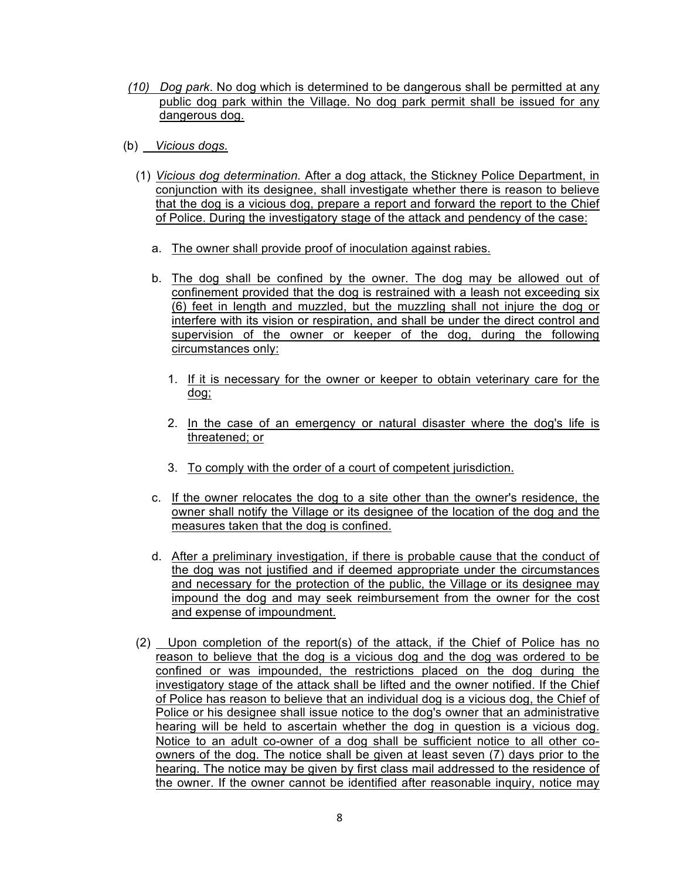- *(10) Dog park*. No dog which is determined to be dangerous shall be permitted at any public dog park within the Village. No dog park permit shall be issued for any dangerous dog.
- (b) *Vicious dogs.*
	- (1) *Vicious dog determination.* After a dog attack, the Stickney Police Department, in conjunction with its designee, shall investigate whether there is reason to believe that the dog is a vicious dog, prepare a report and forward the report to the Chief of Police. During the investigatory stage of the attack and pendency of the case:
		- a. The owner shall provide proof of inoculation against rabies.
		- b. The dog shall be confined by the owner. The dog may be allowed out of confinement provided that the dog is restrained with a leash not exceeding six (6) feet in length and muzzled, but the muzzling shall not injure the dog or interfere with its vision or respiration, and shall be under the direct control and supervision of the owner or keeper of the dog, during the following circumstances only:
			- 1. If it is necessary for the owner or keeper to obtain veterinary care for the dog;
			- 2. In the case of an emergency or natural disaster where the dog's life is threatened; or
			- 3. To comply with the order of a court of competent jurisdiction.
		- c. If the owner relocates the dog to a site other than the owner's residence, the owner shall notify the Village or its designee of the location of the dog and the measures taken that the dog is confined.
		- d. After a preliminary investigation, if there is probable cause that the conduct of the dog was not justified and if deemed appropriate under the circumstances and necessary for the protection of the public, the Village or its designee may impound the dog and may seek reimbursement from the owner for the cost and expense of impoundment.
	- (2) Upon completion of the report(s) of the attack, if the Chief of Police has no reason to believe that the dog is a vicious dog and the dog was ordered to be confined or was impounded, the restrictions placed on the dog during the investigatory stage of the attack shall be lifted and the owner notified. If the Chief of Police has reason to believe that an individual dog is a vicious dog, the Chief of Police or his designee shall issue notice to the dog's owner that an administrative hearing will be held to ascertain whether the dog in question is a vicious dog. Notice to an adult co-owner of a dog shall be sufficient notice to all other coowners of the dog. The notice shall be given at least seven (7) days prior to the hearing. The notice may be given by first class mail addressed to the residence of the owner. If the owner cannot be identified after reasonable inquiry, notice may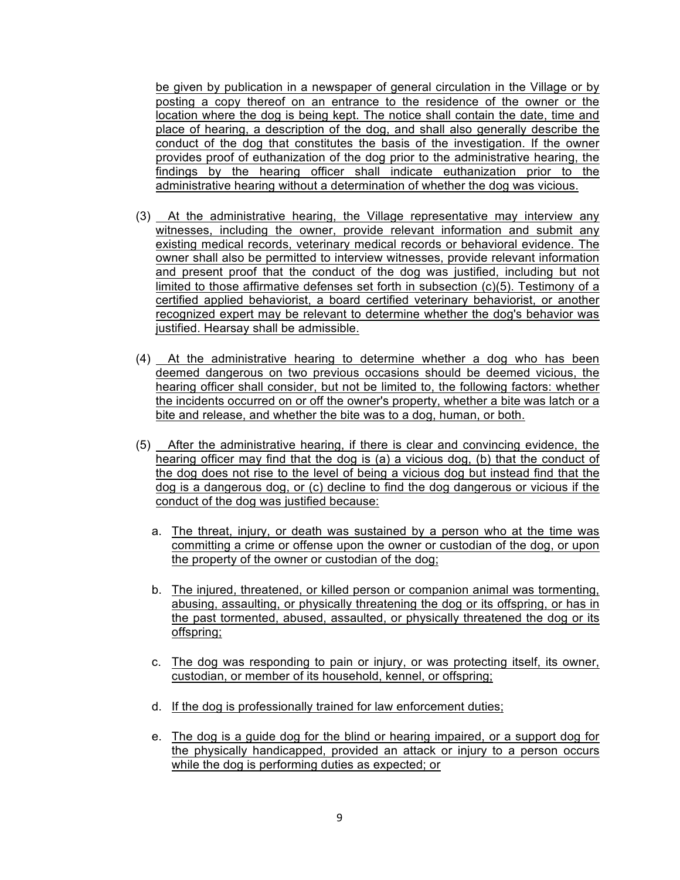be given by publication in a newspaper of general circulation in the Village or by posting a copy thereof on an entrance to the residence of the owner or the location where the dog is being kept. The notice shall contain the date, time and place of hearing, a description of the dog, and shall also generally describe the conduct of the dog that constitutes the basis of the investigation. If the owner provides proof of euthanization of the dog prior to the administrative hearing, the findings by the hearing officer shall indicate euthanization prior to the administrative hearing without a determination of whether the dog was vicious.

- (3) At the administrative hearing, the Village representative may interview any witnesses, including the owner, provide relevant information and submit any existing medical records, veterinary medical records or behavioral evidence. The owner shall also be permitted to interview witnesses, provide relevant information and present proof that the conduct of the dog was justified, including but not limited to those affirmative defenses set forth in subsection (c)(5). Testimony of a certified applied behaviorist, a board certified veterinary behaviorist, or another recognized expert may be relevant to determine whether the dog's behavior was justified. Hearsay shall be admissible.
- (4) At the administrative hearing to determine whether a dog who has been deemed dangerous on two previous occasions should be deemed vicious, the hearing officer shall consider, but not be limited to, the following factors: whether the incidents occurred on or off the owner's property, whether a bite was latch or a bite and release, and whether the bite was to a dog, human, or both.
- (5) After the administrative hearing, if there is clear and convincing evidence, the hearing officer may find that the dog is (a) a vicious dog, (b) that the conduct of the dog does not rise to the level of being a vicious dog but instead find that the dog is a dangerous dog, or (c) decline to find the dog dangerous or vicious if the conduct of the dog was justified because:
	- a. The threat, injury, or death was sustained by a person who at the time was committing a crime or offense upon the owner or custodian of the dog, or upon the property of the owner or custodian of the dog;
	- b. The injured, threatened, or killed person or companion animal was tormenting, abusing, assaulting, or physically threatening the dog or its offspring, or has in the past tormented, abused, assaulted, or physically threatened the dog or its offspring;
	- c. The dog was responding to pain or injury, or was protecting itself, its owner, custodian, or member of its household, kennel, or offspring;
	- d. If the dog is professionally trained for law enforcement duties;
	- e. The dog is a guide dog for the blind or hearing impaired, or a support dog for the physically handicapped, provided an attack or injury to a person occurs while the dog is performing duties as expected; or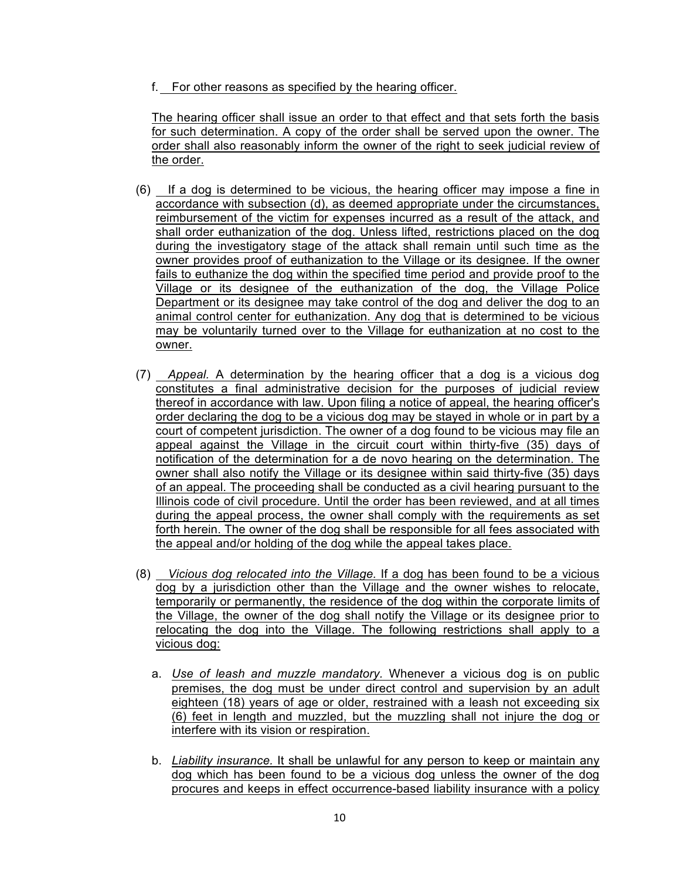f. For other reasons as specified by the hearing officer.

The hearing officer shall issue an order to that effect and that sets forth the basis for such determination. A copy of the order shall be served upon the owner. The order shall also reasonably inform the owner of the right to seek judicial review of the order.

- (6) If a dog is determined to be vicious, the hearing officer may impose a fine in accordance with subsection (d), as deemed appropriate under the circumstances, reimbursement of the victim for expenses incurred as a result of the attack, and shall order euthanization of the dog. Unless lifted, restrictions placed on the dog during the investigatory stage of the attack shall remain until such time as the owner provides proof of euthanization to the Village or its designee. If the owner fails to euthanize the dog within the specified time period and provide proof to the Village or its designee of the euthanization of the dog, the Village Police Department or its designee may take control of the dog and deliver the dog to an animal control center for euthanization. Any dog that is determined to be vicious may be voluntarily turned over to the Village for euthanization at no cost to the owner.
- (7) *Appeal.* A determination by the hearing officer that a dog is a vicious dog constitutes a final administrative decision for the purposes of judicial review thereof in accordance with law. Upon filing a notice of appeal, the hearing officer's order declaring the dog to be a vicious dog may be stayed in whole or in part by a court of competent jurisdiction. The owner of a dog found to be vicious may file an appeal against the Village in the circuit court within thirty-five (35) days of notification of the determination for a de novo hearing on the determination. The owner shall also notify the Village or its designee within said thirty-five (35) days of an appeal. The proceeding shall be conducted as a civil hearing pursuant to the Illinois code of civil procedure. Until the order has been reviewed, and at all times during the appeal process, the owner shall comply with the requirements as set forth herein. The owner of the dog shall be responsible for all fees associated with the appeal and/or holding of the dog while the appeal takes place.
- (8) *Vicious dog relocated into the Village.* If a dog has been found to be a vicious dog by a jurisdiction other than the Village and the owner wishes to relocate, temporarily or permanently, the residence of the dog within the corporate limits of the Village, the owner of the dog shall notify the Village or its designee prior to relocating the dog into the Village. The following restrictions shall apply to a vicious dog:
	- a. *Use of leash and muzzle mandatory.* Whenever a vicious dog is on public premises, the dog must be under direct control and supervision by an adult eighteen (18) years of age or older, restrained with a leash not exceeding six (6) feet in length and muzzled, but the muzzling shall not injure the dog or interfere with its vision or respiration.
	- b. *Liability insurance.* It shall be unlawful for any person to keep or maintain any dog which has been found to be a vicious dog unless the owner of the dog procures and keeps in effect occurrence-based liability insurance with a policy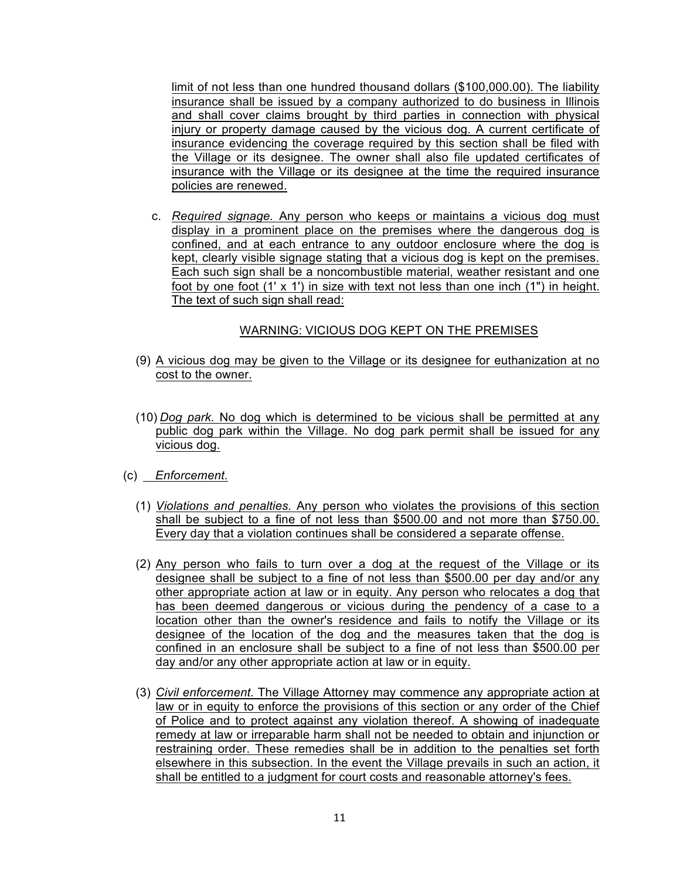limit of not less than one hundred thousand dollars (\$100,000.00). The liability insurance shall be issued by a company authorized to do business in Illinois and shall cover claims brought by third parties in connection with physical injury or property damage caused by the vicious dog. A current certificate of insurance evidencing the coverage required by this section shall be filed with the Village or its designee. The owner shall also file updated certificates of insurance with the Village or its designee at the time the required insurance policies are renewed.

c. *Required signage.* Any person who keeps or maintains a vicious dog must display in a prominent place on the premises where the dangerous dog is confined, and at each entrance to any outdoor enclosure where the dog is kept, clearly visible signage stating that a vicious dog is kept on the premises. Each such sign shall be a noncombustible material, weather resistant and one foot by one foot (1' x 1') in size with text not less than one inch (1") in height. The text of such sign shall read:

# WARNING: VICIOUS DOG KEPT ON THE PREMISES

- (9) A vicious dog may be given to the Village or its designee for euthanization at no cost to the owner.
- (10) *Dog park.* No dog which is determined to be vicious shall be permitted at any public dog park within the Village. No dog park permit shall be issued for any vicious dog.
- (c) *Enforcement.*
	- (1) *Violations and penalties.* Any person who violates the provisions of this section shall be subject to a fine of not less than \$500.00 and not more than \$750.00. Every day that a violation continues shall be considered a separate offense.
	- (2) Any person who fails to turn over a dog at the request of the Village or its designee shall be subject to a fine of not less than \$500.00 per day and/or any other appropriate action at law or in equity. Any person who relocates a dog that has been deemed dangerous or vicious during the pendency of a case to a location other than the owner's residence and fails to notify the Village or its designee of the location of the dog and the measures taken that the dog is confined in an enclosure shall be subject to a fine of not less than \$500.00 per day and/or any other appropriate action at law or in equity.
	- (3) *Civil enforcement.* The Village Attorney may commence any appropriate action at law or in equity to enforce the provisions of this section or any order of the Chief of Police and to protect against any violation thereof. A showing of inadequate remedy at law or irreparable harm shall not be needed to obtain and injunction or restraining order. These remedies shall be in addition to the penalties set forth elsewhere in this subsection. In the event the Village prevails in such an action, it shall be entitled to a judgment for court costs and reasonable attorney's fees.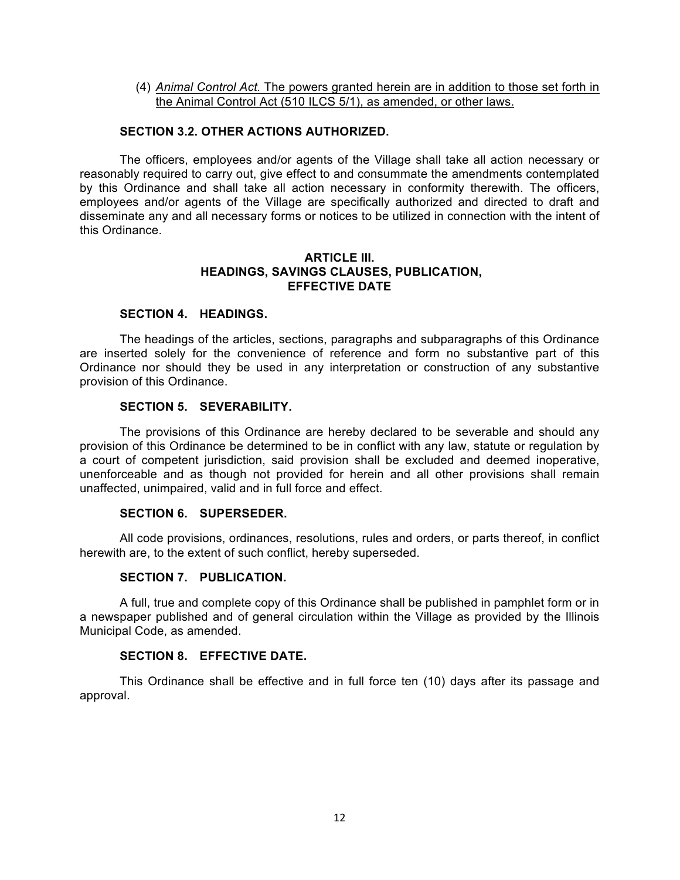(4) *Animal Control Act.* The powers granted herein are in addition to those set forth in the Animal Control Act (510 ILCS 5/1), as amended, or other laws.

# **SECTION 3.2. OTHER ACTIONS AUTHORIZED.**

The officers, employees and/or agents of the Village shall take all action necessary or reasonably required to carry out, give effect to and consummate the amendments contemplated by this Ordinance and shall take all action necessary in conformity therewith. The officers, employees and/or agents of the Village are specifically authorized and directed to draft and disseminate any and all necessary forms or notices to be utilized in connection with the intent of this Ordinance.

#### **ARTICLE III. HEADINGS, SAVINGS CLAUSES, PUBLICATION, EFFECTIVE DATE**

### **SECTION 4. HEADINGS.**

The headings of the articles, sections, paragraphs and subparagraphs of this Ordinance are inserted solely for the convenience of reference and form no substantive part of this Ordinance nor should they be used in any interpretation or construction of any substantive provision of this Ordinance.

### **SECTION 5. SEVERABILITY.**

The provisions of this Ordinance are hereby declared to be severable and should any provision of this Ordinance be determined to be in conflict with any law, statute or regulation by a court of competent jurisdiction, said provision shall be excluded and deemed inoperative, unenforceable and as though not provided for herein and all other provisions shall remain unaffected, unimpaired, valid and in full force and effect.

# **SECTION 6. SUPERSEDER.**

All code provisions, ordinances, resolutions, rules and orders, or parts thereof, in conflict herewith are, to the extent of such conflict, hereby superseded.

### **SECTION 7. PUBLICATION.**

A full, true and complete copy of this Ordinance shall be published in pamphlet form or in a newspaper published and of general circulation within the Village as provided by the Illinois Municipal Code, as amended.

# **SECTION 8. EFFECTIVE DATE.**

This Ordinance shall be effective and in full force ten (10) days after its passage and approval.